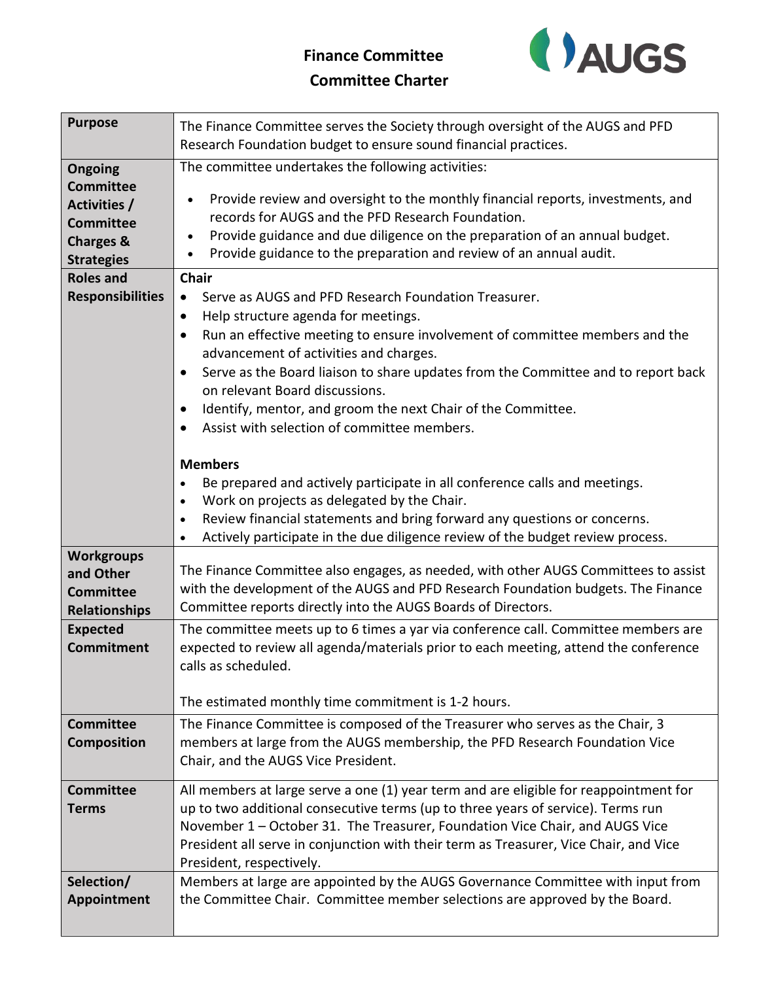## **Finance Committee Committee Charter**



| <b>Purpose</b>          | The Finance Committee serves the Society through oversight of the AUGS and PFD<br>Research Foundation budget to ensure sound financial practices. |
|-------------------------|---------------------------------------------------------------------------------------------------------------------------------------------------|
| Ongoing                 | The committee undertakes the following activities:                                                                                                |
| <b>Committee</b>        |                                                                                                                                                   |
| Activities /            | Provide review and oversight to the monthly financial reports, investments, and                                                                   |
| <b>Committee</b>        | records for AUGS and the PFD Research Foundation.                                                                                                 |
| <b>Charges &amp;</b>    | Provide guidance and due diligence on the preparation of an annual budget.<br>$\bullet$                                                           |
| <b>Strategies</b>       | Provide guidance to the preparation and review of an annual audit.                                                                                |
| <b>Roles and</b>        | <b>Chair</b>                                                                                                                                      |
| <b>Responsibilities</b> | Serve as AUGS and PFD Research Foundation Treasurer.<br>$\bullet$                                                                                 |
|                         | Help structure agenda for meetings.<br>$\bullet$                                                                                                  |
|                         | Run an effective meeting to ensure involvement of committee members and the<br>$\bullet$                                                          |
|                         | advancement of activities and charges.                                                                                                            |
|                         | Serve as the Board liaison to share updates from the Committee and to report back<br>$\bullet$                                                    |
|                         | on relevant Board discussions.                                                                                                                    |
|                         | Identify, mentor, and groom the next Chair of the Committee.<br>$\bullet$                                                                         |
|                         | Assist with selection of committee members.                                                                                                       |
|                         |                                                                                                                                                   |
|                         | <b>Members</b>                                                                                                                                    |
|                         | Be prepared and actively participate in all conference calls and meetings.<br>$\bullet$                                                           |
|                         | Work on projects as delegated by the Chair.<br>$\bullet$                                                                                          |
|                         | Review financial statements and bring forward any questions or concerns.<br>$\bullet$                                                             |
|                         | Actively participate in the due diligence review of the budget review process.<br>$\bullet$                                                       |
| <b>Workgroups</b>       |                                                                                                                                                   |
| and Other               | The Finance Committee also engages, as needed, with other AUGS Committees to assist                                                               |
| <b>Committee</b>        | with the development of the AUGS and PFD Research Foundation budgets. The Finance                                                                 |
| <b>Relationships</b>    | Committee reports directly into the AUGS Boards of Directors.                                                                                     |
| <b>Expected</b>         | The committee meets up to 6 times a yar via conference call. Committee members are                                                                |
| <b>Commitment</b>       | expected to review all agenda/materials prior to each meeting, attend the conference                                                              |
|                         | calls as scheduled.                                                                                                                               |
|                         |                                                                                                                                                   |
|                         | The estimated monthly time commitment is 1-2 hours.                                                                                               |
| <b>Committee</b>        | The Finance Committee is composed of the Treasurer who serves as the Chair, 3                                                                     |
| <b>Composition</b>      | members at large from the AUGS membership, the PFD Research Foundation Vice                                                                       |
|                         | Chair, and the AUGS Vice President.                                                                                                               |
| <b>Committee</b>        | All members at large serve a one (1) year term and are eligible for reappointment for                                                             |
| <b>Terms</b>            | up to two additional consecutive terms (up to three years of service). Terms run                                                                  |
|                         | November 1 – October 31. The Treasurer, Foundation Vice Chair, and AUGS Vice                                                                      |
|                         | President all serve in conjunction with their term as Treasurer, Vice Chair, and Vice                                                             |
|                         | President, respectively.                                                                                                                          |
| Selection/              | Members at large are appointed by the AUGS Governance Committee with input from                                                                   |
| Appointment             | the Committee Chair. Committee member selections are approved by the Board.                                                                       |
|                         |                                                                                                                                                   |
|                         |                                                                                                                                                   |